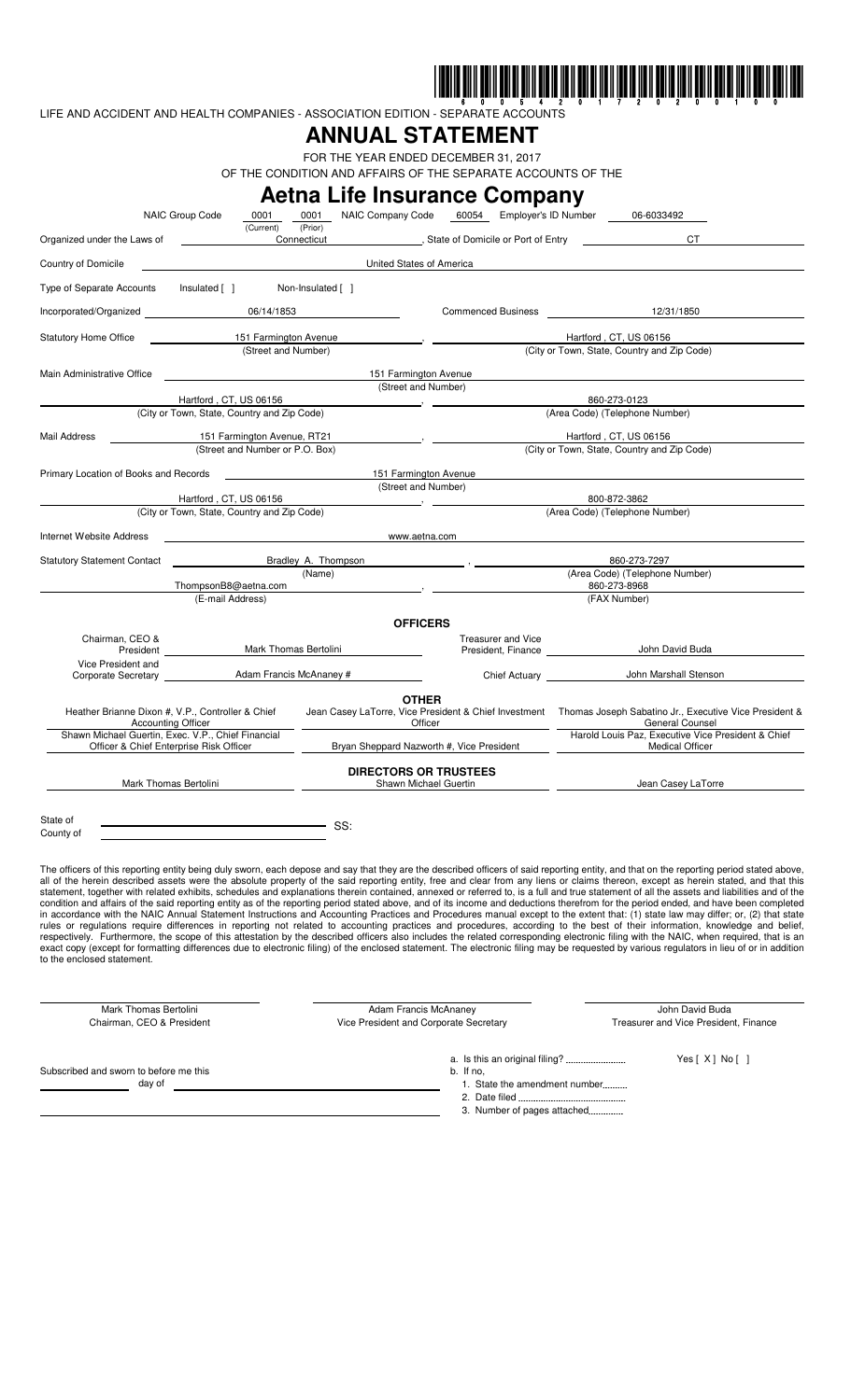

LIFE AND ACCIDENT AND HEALTH COMPANIES - ASSOCIATION EDITION - SEPARATE ACCOUNTS

## **ANNUAL STATEMENT**

FOR THE YEAR ENDED DECEMBER 31, 2017 OF THE CONDITION AND AFFAIRS OF THE SEPARATE ACCOUNTS OF THE

|                                                                                               |                                             |                                 |                                                                    |                                                                                                                         | <b>Aetna Life Insurance Company</b>                      |                                                                              |                                                                                                                                                                                                                                                                                                                                                                                                                                                                                                                                                                                                                                                                                                                                                                                                                                                                                                                                                                                                                                                                                                                                                                                                                                                                                                                                                                                                                                                                                                                                 |  |
|-----------------------------------------------------------------------------------------------|---------------------------------------------|---------------------------------|--------------------------------------------------------------------|-------------------------------------------------------------------------------------------------------------------------|----------------------------------------------------------|------------------------------------------------------------------------------|---------------------------------------------------------------------------------------------------------------------------------------------------------------------------------------------------------------------------------------------------------------------------------------------------------------------------------------------------------------------------------------------------------------------------------------------------------------------------------------------------------------------------------------------------------------------------------------------------------------------------------------------------------------------------------------------------------------------------------------------------------------------------------------------------------------------------------------------------------------------------------------------------------------------------------------------------------------------------------------------------------------------------------------------------------------------------------------------------------------------------------------------------------------------------------------------------------------------------------------------------------------------------------------------------------------------------------------------------------------------------------------------------------------------------------------------------------------------------------------------------------------------------------|--|
|                                                                                               | NAIC Group Code                             | 0001<br>(Current)               | 0001<br>(Prior)                                                    | NAIC Company Code                                                                                                       | 60054 Employer's ID Number                               |                                                                              | 06-6033492                                                                                                                                                                                                                                                                                                                                                                                                                                                                                                                                                                                                                                                                                                                                                                                                                                                                                                                                                                                                                                                                                                                                                                                                                                                                                                                                                                                                                                                                                                                      |  |
| Organized under the Laws of                                                                   |                                             |                                 | Connecticut                                                        |                                                                                                                         | , State of Domicile or Port of Entry                     |                                                                              | CT.                                                                                                                                                                                                                                                                                                                                                                                                                                                                                                                                                                                                                                                                                                                                                                                                                                                                                                                                                                                                                                                                                                                                                                                                                                                                                                                                                                                                                                                                                                                             |  |
| Country of Domicile                                                                           |                                             |                                 |                                                                    | United States of America                                                                                                |                                                          |                                                                              |                                                                                                                                                                                                                                                                                                                                                                                                                                                                                                                                                                                                                                                                                                                                                                                                                                                                                                                                                                                                                                                                                                                                                                                                                                                                                                                                                                                                                                                                                                                                 |  |
| Type of Separate Accounts                                                                     | Insulated [ ]                               |                                 | Non-Insulated [ ]                                                  |                                                                                                                         |                                                          |                                                                              |                                                                                                                                                                                                                                                                                                                                                                                                                                                                                                                                                                                                                                                                                                                                                                                                                                                                                                                                                                                                                                                                                                                                                                                                                                                                                                                                                                                                                                                                                                                                 |  |
| Incorporated/Organized                                                                        |                                             | 06/14/1853                      |                                                                    |                                                                                                                         | Commenced Business 12/31/1850                            |                                                                              |                                                                                                                                                                                                                                                                                                                                                                                                                                                                                                                                                                                                                                                                                                                                                                                                                                                                                                                                                                                                                                                                                                                                                                                                                                                                                                                                                                                                                                                                                                                                 |  |
| <b>Statutory Home Office</b><br>151 Farmington Avenue<br>(Street and Number)                  |                                             |                                 |                                                                    |                                                                                                                         | Hartford, CT, US 06156                                   |                                                                              |                                                                                                                                                                                                                                                                                                                                                                                                                                                                                                                                                                                                                                                                                                                                                                                                                                                                                                                                                                                                                                                                                                                                                                                                                                                                                                                                                                                                                                                                                                                                 |  |
|                                                                                               |                                             |                                 |                                                                    |                                                                                                                         | (City or Town, State, Country and Zip Code)              |                                                                              |                                                                                                                                                                                                                                                                                                                                                                                                                                                                                                                                                                                                                                                                                                                                                                                                                                                                                                                                                                                                                                                                                                                                                                                                                                                                                                                                                                                                                                                                                                                                 |  |
| Main Administrative Office                                                                    |                                             |                                 |                                                                    | 151 Farmington Avenue                                                                                                   |                                                          |                                                                              |                                                                                                                                                                                                                                                                                                                                                                                                                                                                                                                                                                                                                                                                                                                                                                                                                                                                                                                                                                                                                                                                                                                                                                                                                                                                                                                                                                                                                                                                                                                                 |  |
|                                                                                               | Hartford, CT, US 06156                      |                                 |                                                                    | (Street and Number)                                                                                                     |                                                          | 860-273-0123                                                                 |                                                                                                                                                                                                                                                                                                                                                                                                                                                                                                                                                                                                                                                                                                                                                                                                                                                                                                                                                                                                                                                                                                                                                                                                                                                                                                                                                                                                                                                                                                                                 |  |
|                                                                                               | (City or Town, State, Country and Zip Code) |                                 | (Area Code) (Telephone Number)                                     |                                                                                                                         |                                                          |                                                                              |                                                                                                                                                                                                                                                                                                                                                                                                                                                                                                                                                                                                                                                                                                                                                                                                                                                                                                                                                                                                                                                                                                                                                                                                                                                                                                                                                                                                                                                                                                                                 |  |
| Mail Address                                                                                  | 151 Farmington Avenue, RT21                 |                                 |                                                                    |                                                                                                                         |                                                          | Hartford, CT, US 06156                                                       |                                                                                                                                                                                                                                                                                                                                                                                                                                                                                                                                                                                                                                                                                                                                                                                                                                                                                                                                                                                                                                                                                                                                                                                                                                                                                                                                                                                                                                                                                                                                 |  |
|                                                                                               |                                             | (Street and Number or P.O. Box) |                                                                    | (City or Town, State, Country and Zip Code)                                                                             |                                                          |                                                                              |                                                                                                                                                                                                                                                                                                                                                                                                                                                                                                                                                                                                                                                                                                                                                                                                                                                                                                                                                                                                                                                                                                                                                                                                                                                                                                                                                                                                                                                                                                                                 |  |
| Primary Location of Books and Records                                                         |                                             |                                 |                                                                    | 151 Farmington Avenue<br>(Street and Number)                                                                            |                                                          |                                                                              |                                                                                                                                                                                                                                                                                                                                                                                                                                                                                                                                                                                                                                                                                                                                                                                                                                                                                                                                                                                                                                                                                                                                                                                                                                                                                                                                                                                                                                                                                                                                 |  |
|                                                                                               | Hartford, CT, US 06156                      |                                 |                                                                    |                                                                                                                         |                                                          | 800-872-3862                                                                 |                                                                                                                                                                                                                                                                                                                                                                                                                                                                                                                                                                                                                                                                                                                                                                                                                                                                                                                                                                                                                                                                                                                                                                                                                                                                                                                                                                                                                                                                                                                                 |  |
|                                                                                               | (City or Town, State, Country and Zip Code) |                                 | (Area Code) (Telephone Number)                                     |                                                                                                                         |                                                          |                                                                              |                                                                                                                                                                                                                                                                                                                                                                                                                                                                                                                                                                                                                                                                                                                                                                                                                                                                                                                                                                                                                                                                                                                                                                                                                                                                                                                                                                                                                                                                                                                                 |  |
| Internet Website Address                                                                      |                                             |                                 |                                                                    | www.aetna.com                                                                                                           |                                                          |                                                                              |                                                                                                                                                                                                                                                                                                                                                                                                                                                                                                                                                                                                                                                                                                                                                                                                                                                                                                                                                                                                                                                                                                                                                                                                                                                                                                                                                                                                                                                                                                                                 |  |
| <b>Statutory Statement Contact</b>                                                            |                                             | Bradley A. Thompson             |                                                                    |                                                                                                                         | 860-273-7297                                             |                                                                              |                                                                                                                                                                                                                                                                                                                                                                                                                                                                                                                                                                                                                                                                                                                                                                                                                                                                                                                                                                                                                                                                                                                                                                                                                                                                                                                                                                                                                                                                                                                                 |  |
| ThompsonB8@aetna.com                                                                          |                                             |                                 | (Name)                                                             |                                                                                                                         | (Area Code) (Telephone Number)<br>860-273-8968           |                                                                              |                                                                                                                                                                                                                                                                                                                                                                                                                                                                                                                                                                                                                                                                                                                                                                                                                                                                                                                                                                                                                                                                                                                                                                                                                                                                                                                                                                                                                                                                                                                                 |  |
|                                                                                               | (E-mail Address)                            |                                 |                                                                    |                                                                                                                         |                                                          | (FAX Number)                                                                 |                                                                                                                                                                                                                                                                                                                                                                                                                                                                                                                                                                                                                                                                                                                                                                                                                                                                                                                                                                                                                                                                                                                                                                                                                                                                                                                                                                                                                                                                                                                                 |  |
|                                                                                               |                                             |                                 |                                                                    | <b>OFFICERS</b>                                                                                                         |                                                          |                                                                              |                                                                                                                                                                                                                                                                                                                                                                                                                                                                                                                                                                                                                                                                                                                                                                                                                                                                                                                                                                                                                                                                                                                                                                                                                                                                                                                                                                                                                                                                                                                                 |  |
| Chairman, CEO &                                                                               | <b>President Exercise 1999</b>              | Mark Thomas Bertolini           |                                                                    |                                                                                                                         | Treasurer and Vice<br>President, Finance                 |                                                                              | John David Buda                                                                                                                                                                                                                                                                                                                                                                                                                                                                                                                                                                                                                                                                                                                                                                                                                                                                                                                                                                                                                                                                                                                                                                                                                                                                                                                                                                                                                                                                                                                 |  |
| Vice President and                                                                            |                                             |                                 |                                                                    |                                                                                                                         | John Marshall Stenson<br>Chief Actuary <b>Example 20</b> |                                                                              |                                                                                                                                                                                                                                                                                                                                                                                                                                                                                                                                                                                                                                                                                                                                                                                                                                                                                                                                                                                                                                                                                                                                                                                                                                                                                                                                                                                                                                                                                                                                 |  |
|                                                                                               |                                             |                                 |                                                                    | <b>OTHER</b>                                                                                                            |                                                          |                                                                              |                                                                                                                                                                                                                                                                                                                                                                                                                                                                                                                                                                                                                                                                                                                                                                                                                                                                                                                                                                                                                                                                                                                                                                                                                                                                                                                                                                                                                                                                                                                                 |  |
| Heather Brianne Dixon #, V.P., Controller & Chief<br><b>Accounting Officer</b>                |                                             |                                 |                                                                    | Jean Casey LaTorre, Vice President & Chief Investment Thomas Joseph Sabatino Jr., Executive Vice President &<br>Officer |                                                          |                                                                              | <b>General Counsel</b>                                                                                                                                                                                                                                                                                                                                                                                                                                                                                                                                                                                                                                                                                                                                                                                                                                                                                                                                                                                                                                                                                                                                                                                                                                                                                                                                                                                                                                                                                                          |  |
| Shawn Michael Guertin, Exec. V.P., Chief Financial<br>Officer & Chief Enterprise Risk Officer |                                             |                                 | Bryan Sheppard Nazworth #, Vice President                          |                                                                                                                         |                                                          | Harold Louis Paz, Executive Vice President & Chief<br><b>Medical Officer</b> |                                                                                                                                                                                                                                                                                                                                                                                                                                                                                                                                                                                                                                                                                                                                                                                                                                                                                                                                                                                                                                                                                                                                                                                                                                                                                                                                                                                                                                                                                                                                 |  |
| Mark Thomas Bertolini                                                                         |                                             |                                 |                                                                    | <b>DIRECTORS OR TRUSTEES</b><br>Shawn Michael Guertin                                                                   |                                                          | Jean Casey LaTorre                                                           |                                                                                                                                                                                                                                                                                                                                                                                                                                                                                                                                                                                                                                                                                                                                                                                                                                                                                                                                                                                                                                                                                                                                                                                                                                                                                                                                                                                                                                                                                                                                 |  |
|                                                                                               |                                             |                                 |                                                                    |                                                                                                                         |                                                          |                                                                              |                                                                                                                                                                                                                                                                                                                                                                                                                                                                                                                                                                                                                                                                                                                                                                                                                                                                                                                                                                                                                                                                                                                                                                                                                                                                                                                                                                                                                                                                                                                                 |  |
| State of                                                                                      |                                             |                                 | SS:                                                                |                                                                                                                         |                                                          |                                                                              |                                                                                                                                                                                                                                                                                                                                                                                                                                                                                                                                                                                                                                                                                                                                                                                                                                                                                                                                                                                                                                                                                                                                                                                                                                                                                                                                                                                                                                                                                                                                 |  |
| County of                                                                                     |                                             |                                 |                                                                    |                                                                                                                         |                                                          |                                                                              |                                                                                                                                                                                                                                                                                                                                                                                                                                                                                                                                                                                                                                                                                                                                                                                                                                                                                                                                                                                                                                                                                                                                                                                                                                                                                                                                                                                                                                                                                                                                 |  |
| to the enclosed statement.                                                                    |                                             |                                 |                                                                    |                                                                                                                         |                                                          |                                                                              | The officers of this reporting entity being duly sworn, each depose and say that they are the described officers of said reporting entity, and that on the reporting period stated above,<br>all of the herein described assets were the absolute property of the said reporting entity, free and clear from any liens or claims thereon, except as herein stated, and that this<br>statement, together with related exhibits, schedules and explanations therein contained, annexed or referred to, is a full and true statement of all the assets and liabilities and of the<br>condition and affairs of the said reporting entity as of the reporting period stated above, and of its income and deductions therefrom for the period ended, and have been completed<br>in accordance with the NAIC Annual Statement Instructions and Accounting Practices and Procedures manual except to the extent that: (1) state law may differ; or, (2) that state<br>rules or regulations require differences in reporting not related to accounting practices and procedures, according to the best of their information, knowledge and belief,<br>respectively. Furthermore, the scope of this attestation by the described officers also includes the related corresponding electronic filing with the NAIC, when required, that is an<br>exact copy (except for formatting differences due to electronic filing) of the enclosed statement. The electronic filing may be requested by various regulators in lieu of or in addition |  |
| Mark Thomas Bertolini<br>Chairman, CEO & President                                            |                                             |                                 |                                                                    | Adam Francis McAnaney<br>Vice President and Corporate Secretary                                                         |                                                          |                                                                              | John David Buda<br>Treasurer and Vice President, Finance                                                                                                                                                                                                                                                                                                                                                                                                                                                                                                                                                                                                                                                                                                                                                                                                                                                                                                                                                                                                                                                                                                                                                                                                                                                                                                                                                                                                                                                                        |  |
| Subscribed and sworn to before me this<br>day of                                              |                                             |                                 | Yes $[X]$ No $[$ $]$<br>b. If no,<br>1. State the amendment number |                                                                                                                         |                                                          |                                                                              |                                                                                                                                                                                                                                                                                                                                                                                                                                                                                                                                                                                                                                                                                                                                                                                                                                                                                                                                                                                                                                                                                                                                                                                                                                                                                                                                                                                                                                                                                                                                 |  |

2. Date filed 3. Number of pages attached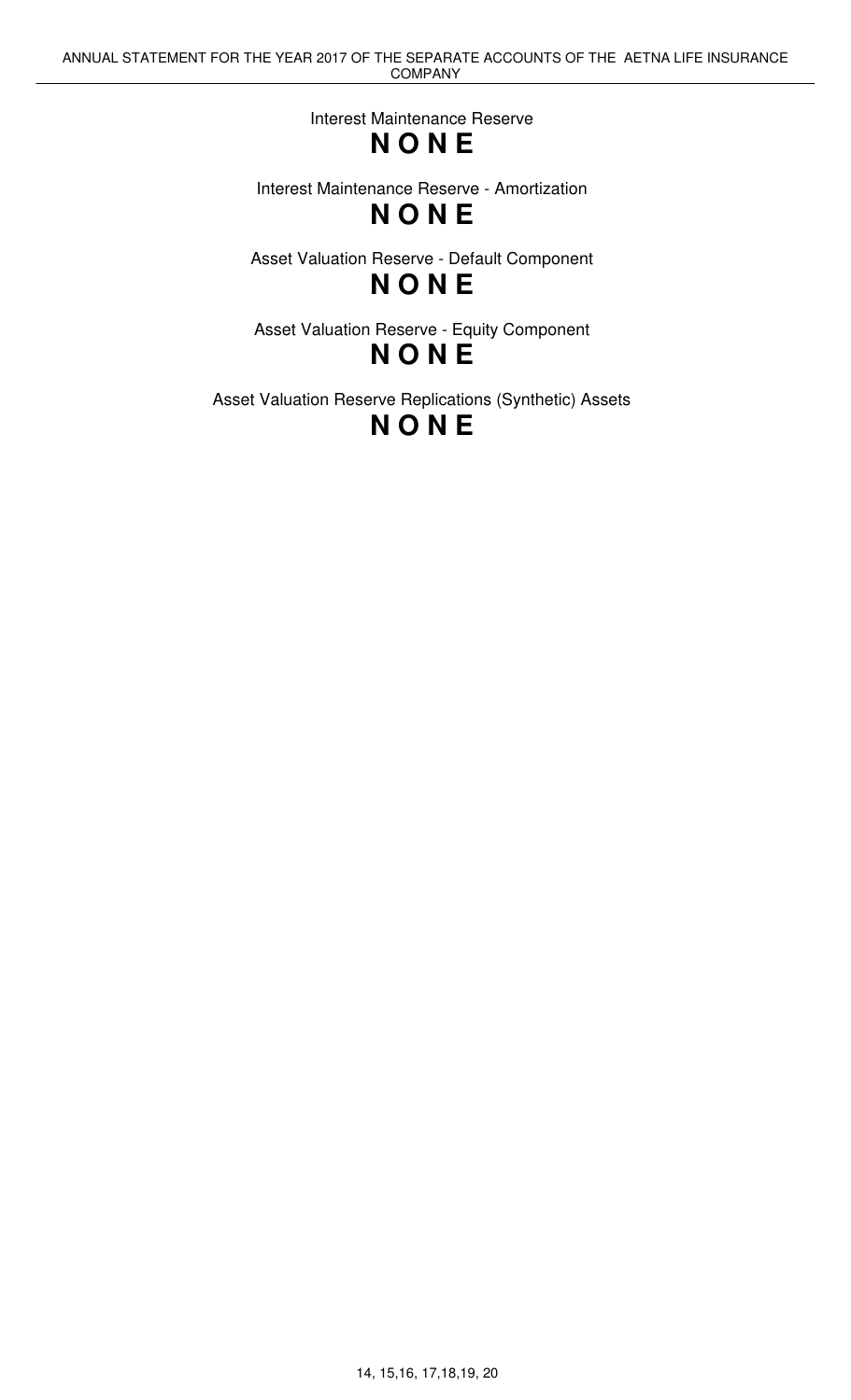Interest Maintenance Reserve

## **N O N E**

Interest Maintenance Reserve - Amortization **N O N E**

Asset Valuation Reserve - Default Component **N O N E**

Asset Valuation Reserve - Equity Component **N O N E**

Asset Valuation Reserve Replications (Synthetic) Assets **N O N E**